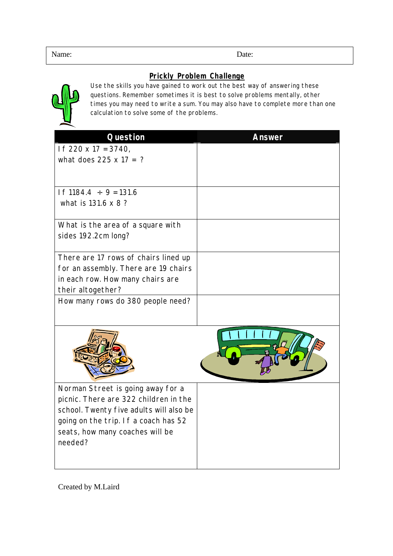## **Prickly Problem Challenge**



Use the skills you have gained to work out the best way of answering these questions. Remember sometimes it is best to solve problems mentally, other times you may need to write a sum. You may also have to complete more than one calculation to solve some of the problems.

| <b>Question</b>                                                            | <b>Answer</b> |
|----------------------------------------------------------------------------|---------------|
| If $220 \times 17 = 3740$ ,                                                |               |
| what does $225 \times 17 = ?$                                              |               |
|                                                                            |               |
| If $1184.4 \div 9 = 131.6$<br>what is 131.6 x 8 ?                          |               |
|                                                                            |               |
| What is the area of a square with                                          |               |
| sides 192.2cm long?                                                        |               |
| There are 17 rows of chairs lined up                                       |               |
| for an assembly. There are 19 chairs                                       |               |
| in each row. How many chairs are                                           |               |
| their altogether?                                                          |               |
| How many rows do 380 people need?                                          |               |
|                                                                            |               |
| Norman Street is going away for a<br>picnic. There are 322 children in the |               |
| school. Twenty five adults will also be                                    |               |
| going on the trip. If a coach has 52                                       |               |
| seats, how many coaches will be                                            |               |
| needed?                                                                    |               |
|                                                                            |               |

Created by M.Laird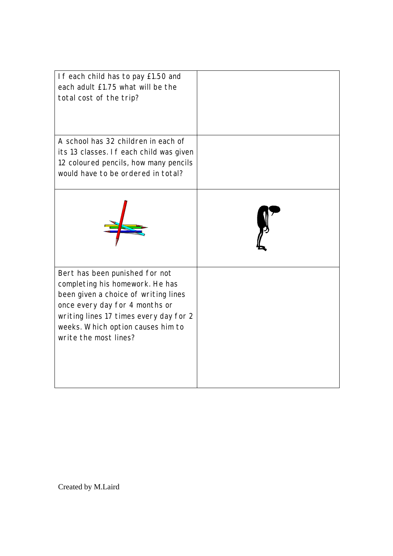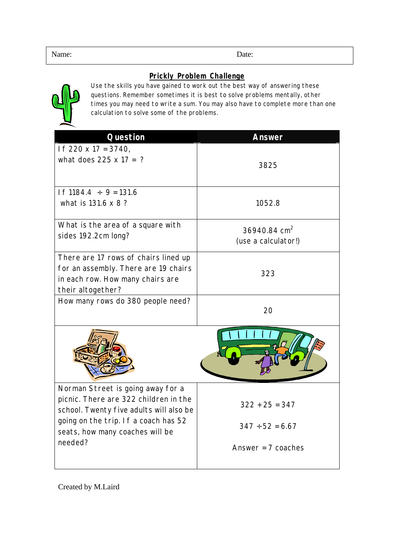## **Prickly Problem Challenge**



Use the skills you have gained to work out the best way of answering these questions. Remember sometimes it is best to solve problems mentally, other times you may need to write a sum. You may also have to complete more than one calculation to solve some of the problems.

| <b>Question</b>                                                                                                                                                                                             | <b>Answer</b>                                   |
|-------------------------------------------------------------------------------------------------------------------------------------------------------------------------------------------------------------|-------------------------------------------------|
| If $220 \times 17 = 3740$ ,<br>what does $225 \times 17 = ?$                                                                                                                                                | 3825                                            |
| If $1184.4 \div 9 = 131.6$<br>what is 131.6 x 8 ?                                                                                                                                                           | 1052.8                                          |
| What is the area of a square with<br>sides 192.2cm long?                                                                                                                                                    | 36940.84 cm <sup>2</sup><br>(use a calculator!) |
| There are 17 rows of chairs lined up<br>for an assembly. There are 19 chairs<br>in each row. How many chairs are<br>their altogether?                                                                       | 323                                             |
| How many rows do 380 people need?                                                                                                                                                                           | 20                                              |
|                                                                                                                                                                                                             |                                                 |
| Norman Street is going away for a<br>picnic. There are 322 children in the<br>school. Twenty five adults will also be<br>going on the trip. If a coach has 52<br>seats, how many coaches will be<br>needed? | $322 + 25 = 347$<br>$347 \div 52 = 6.67$        |
|                                                                                                                                                                                                             | Answer = $7$ coaches                            |

Created by M.Laird